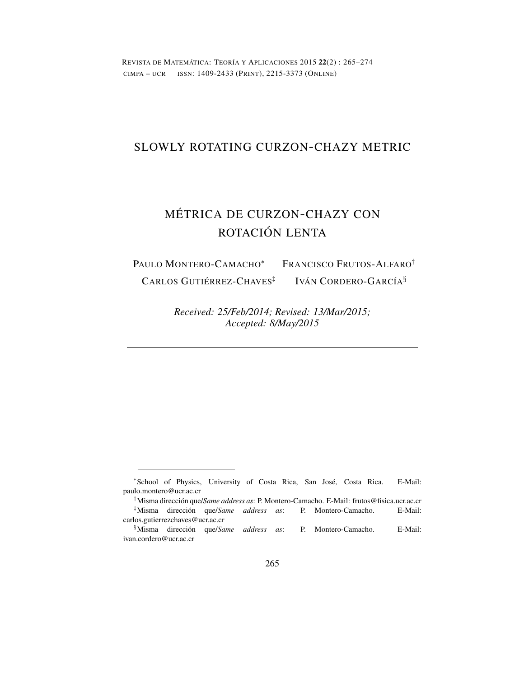REVISTA DE MATEMÁTICA: TEORÍA Y APLICACIONES 2015 22(2) : 265–274 CIMPA – UCR ISSN: 1409-2433 (PRINT), 2215-3373 (ONLINE)

# SLOWLY ROTATING CURZON-CHAZY METRIC

# MÉTRICA DE CURZON-CHAZY CON ROTACIÓN LENTA

PAULO MONTERO-CAMACHO*<sup>∗</sup>* FRANCISCO FRUTOS-ALFARO*†* CARLOS GUTIÉRREZ-CHAVES*‡* IVÁN CORDERO-GARCÍA*§*

> *Received: 25/Feb/2014; Revised: 13/Mar/2015; Accepted: 8/May/2015*

*<sup>∗</sup>* School of Physics, University of Costa Rica, San José, Costa Rica. E-Mail: paulo.montero@ucr.ac.cr

*<sup>†</sup>*Misma dirección que/*Same address as*: P. Montero-Camacho. E-Mail: frutos@fisica.ucr.ac.cr *‡*Misma dirección que/*Same address as*: P. Montero-Camacho. E-Mail: carlos.gutierrezchaves@ucr.ac.cr

*<sup>§</sup>*Misma dirección que/*Same address as*: P. Montero-Camacho. E-Mail: ivan.cordero@ucr.ac.cr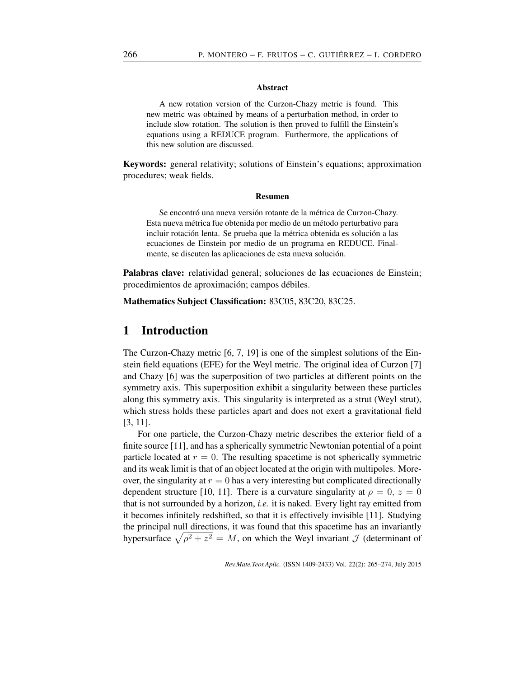#### Abstract

A new rotation version of the Curzon-Chazy metric is found. This new metric was obtained by means of a perturbation method, in order to include slow rotation. The solution is then proved to fulfill the Einstein's equations using a REDUCE program. Furthermore, the applications of this new solution are discussed.

Keywords: general relativity; solutions of Einstein's equations; approximation procedures; weak fields.

#### Resumen

Se encontró una nueva versión rotante de la métrica de Curzon-Chazy. Esta nueva métrica fue obtenida por medio de un método perturbativo para incluir rotación lenta. Se prueba que la métrica obtenida es solución a las ecuaciones de Einstein por medio de un programa en REDUCE. Finalmente, se discuten las aplicaciones de esta nueva solución.

Palabras clave: relatividad general; soluciones de las ecuaciones de Einstein; procedimientos de aproximación; campos débiles.

Mathematics Subject Classification: 83C05, 83C20, 83C25.

## 1 Introduction

The Curzon-Chazy metric [6, 7, 19] is one of the simplest solutions of the Einstein field equations (EFE) for the Weyl metric. The original idea of Curzon [7] and Chazy [6] was the superposition of two particles at different points on the symmetry axis. This superposition exhibit a singularity between these particles along this symmetry axis. This singularity is interpreted as a strut (Weyl strut), which stress holds these particles apart and does not exert a gravitational field [3, 11].

For one particle, the Curzon-Chazy metric describes the exterior field of a finite source [11], and has a spherically symmetric Newtonian potential of a point particle located at  $r = 0$ . The resulting spacetime is not spherically symmetric and its weak limit is that of an object located at the origin with multipoles. Moreover, the singularity at  $r = 0$  has a very interesting but complicated directionally dependent structure [10, 11]. There is a curvature singularity at  $\rho = 0$ ,  $z = 0$ that is not surrounded by a horizon, *i.e.* it is naked. Every light ray emitted from it becomes infinitely redshifted, so that it is effectively invisible [11]. Studying the principal null directions, it was found that this spacetime has an invariantly hypersurface  $\sqrt{\rho^2 + z^2} = M$ , on which the Weyl invariant *J* (determinant of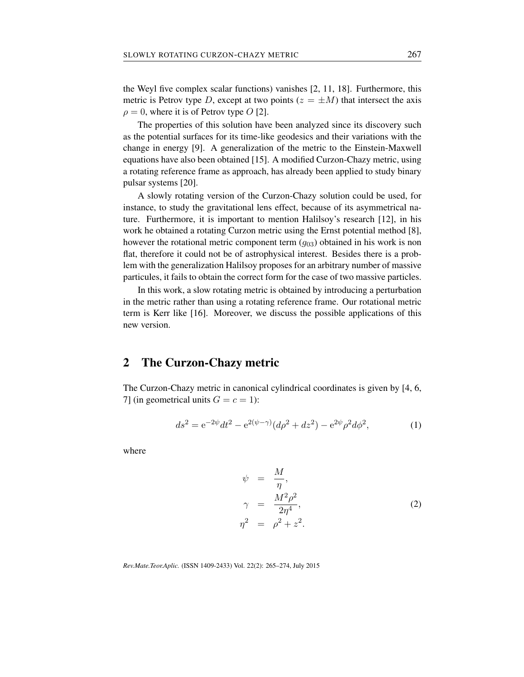the Weyl five complex scalar functions) vanishes [2, 11, 18]. Furthermore, this metric is Petrov type *D*, except at two points  $(z = \pm M)$  that intersect the axis  $\rho = 0$ , where it is of Petrov type *O* [2].

The properties of this solution have been analyzed since its discovery such as the potential surfaces for its time-like geodesics and their variations with the change in energy [9]. A generalization of the metric to the Einstein-Maxwell equations have also been obtained [15]. A modified Curzon-Chazy metric, using a rotating reference frame as approach, has already been applied to study binary pulsar systems [20].

A slowly rotating version of the Curzon-Chazy solution could be used, for instance, to study the gravitational lens effect, because of its asymmetrical nature. Furthermore, it is important to mention Halilsoy's research [12], in his work he obtained a rotating Curzon metric using the Ernst potential method [8], however the rotational metric component term ( $g_{03}$ ) obtained in his work is non flat, therefore it could not be of astrophysical interest. Besides there is a problem with the generalization Halilsoy proposes for an arbitrary number of massive particules, it fails to obtain the correct form for the case of two massive particles.

In this work, a slow rotating metric is obtained by introducing a perturbation in the metric rather than using a rotating reference frame. Our rotational metric term is Kerr like [16]. Moreover, we discuss the possible applications of this new version.

### 2 The Curzon-Chazy metric

The Curzon-Chazy metric in canonical cylindrical coordinates is given by [4, 6, 7] (in geometrical units  $G = c = 1$ ):

$$
ds^{2} = e^{-2\psi}dt^{2} - e^{2(\psi - \gamma)}(d\rho^{2} + dz^{2}) - e^{2\psi}\rho^{2}d\phi^{2},
$$
 (1)

where

$$
\psi = \frac{M}{\eta},
$$
\n
$$
\gamma = \frac{M^2 \rho^2}{2\eta^4},
$$
\n
$$
\eta^2 = \rho^2 + z^2.
$$
\n(2)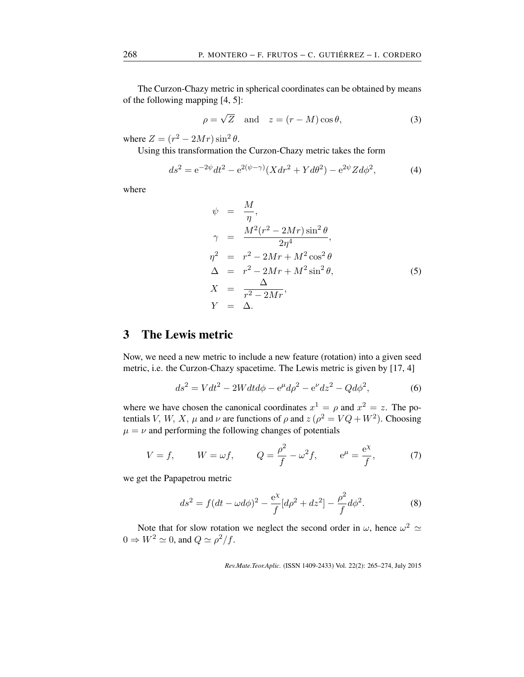The Curzon-Chazy metric in spherical coordinates can be obtained by means of the following mapping [4, 5]:

$$
\rho = \sqrt{Z} \quad \text{and} \quad z = (r - M)\cos\theta,\tag{3}
$$

where  $Z = (r^2 - 2Mr)\sin^2\theta$ .

Using this transformation the Curzon-Chazy metric takes the form

$$
ds^{2} = e^{-2\psi}dt^{2} - e^{2(\psi - \gamma)}(X dr^{2} + Y d\theta^{2}) - e^{2\psi} Z d\phi^{2}, \qquad (4)
$$

where

$$
\psi = \frac{M}{\eta},
$$
\n
$$
\gamma = \frac{M^2(r^2 - 2Mr)\sin^2\theta}{2\eta^4},
$$
\n
$$
\eta^2 = r^2 - 2Mr + M^2\cos^2\theta
$$
\n
$$
\Delta = r^2 - 2Mr + M^2\sin^2\theta,
$$
\n
$$
X = \frac{\Delta}{r^2 - 2Mr},
$$
\n
$$
Y = \Delta.
$$
\n(5)

## 3 The Lewis metric

Now, we need a new metric to include a new feature (rotation) into a given seed metric, i.e. the Curzon-Chazy spacetime. The Lewis metric is given by [17, 4]

$$
ds^{2} = Vdt^{2} - 2Wdt d\phi - e^{\mu} d\rho^{2} - e^{\nu} dz^{2} - Qd\phi^{2},
$$
 (6)

where we have chosen the canonical coordinates  $x^1 = \rho$  and  $x^2 = z$ . The potentials *V*, *W*, *X*, *µ* and *v* are functions of  $\rho$  and  $z(\rho^2 = VQ + W^2)$ . Choosing  $\mu = \nu$  and performing the following changes of potentials

$$
V = f,
$$
  $W = \omega f,$   $Q = \frac{\rho^2}{f} - \omega^2 f,$   $e^{\mu} = \frac{e^{\chi}}{f},$  (7)

we get the Papapetrou metric

$$
ds^{2} = f(dt - \omega d\phi)^{2} - \frac{e^{\chi}}{f}[d\rho^{2} + dz^{2}] - \frac{\rho^{2}}{f}d\phi^{2}.
$$
 (8)

Note that for slow rotation we neglect the second order in  $\omega$ , hence  $\omega^2 \simeq$  $0 \Rightarrow W^2 \simeq 0$ , and  $Q \simeq \rho^2/f$ .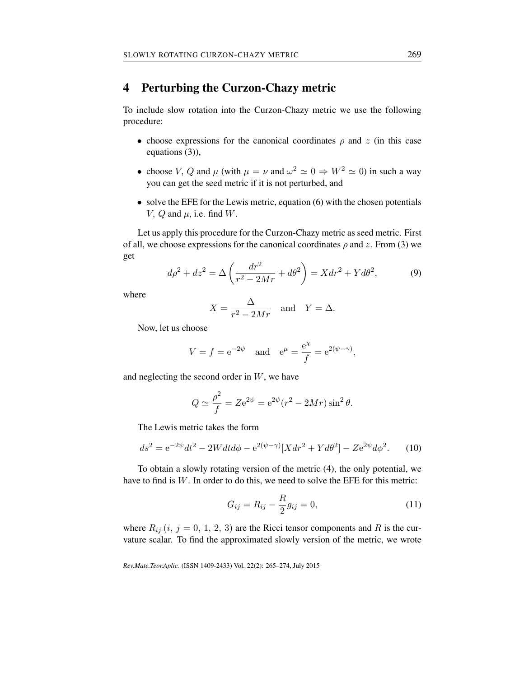# 4 Perturbing the Curzon-Chazy metric

To include slow rotation into the Curzon-Chazy metric we use the following procedure:

- *•* choose expressions for the canonical coordinates *ρ* and *z* (in this case equations (3)),
- choose *V*, *Q* and  $\mu$  (with  $\mu = \nu$  and  $\omega^2 \approx 0 \Rightarrow W^2 \approx 0$ ) in such a way you can get the seed metric if it is not perturbed, and
- solve the EFE for the Lewis metric, equation (6) with the chosen potentials *V*,  $Q$  and  $\mu$ , i.e. find  $W$ .

Let us apply this procedure for the Curzon-Chazy metric as seed metric. First of all, we choose expressions for the canonical coordinates  $\rho$  and  $z$ . From (3) we get

$$
d\rho^2 + dz^2 = \Delta \left(\frac{dr^2}{r^2 - 2Mr} + d\theta^2\right) = Xdr^2 + Yd\theta^2,\tag{9}
$$

where

$$
X = \frac{\Delta}{r^2 - 2Mr} \quad \text{and} \quad Y = \Delta.
$$

Now, let us choose

$$
V = f = e^{-2\psi}
$$
 and  $e^{\mu} = \frac{e^{\chi}}{f} = e^{2(\psi - \gamma)}$ ,

and neglecting the second order in *W*, we have

$$
Q \simeq \frac{\rho^2}{f} = Ze^{2\psi} = e^{2\psi}(r^2 - 2Mr)\sin^2\theta.
$$

The Lewis metric takes the form

$$
ds^{2} = e^{-2\psi}dt^{2} - 2Wdt d\phi - e^{2(\psi - \gamma)}[X dr^{2} + Y d\theta^{2}] - Z e^{2\psi} d\phi^{2}.
$$
 (10)

To obtain a slowly rotating version of the metric (4), the only potential, we have to find is *W*. In order to do this, we need to solve the EFE for this metric:

$$
G_{ij} = R_{ij} - \frac{R}{2}g_{ij} = 0,
$$
\n(11)

where  $R_{ij}$  (*i*, *j* = 0, 1, 2, 3) are the Ricci tensor components and *R* is the curvature scalar. To find the approximated slowly version of the metric, we wrote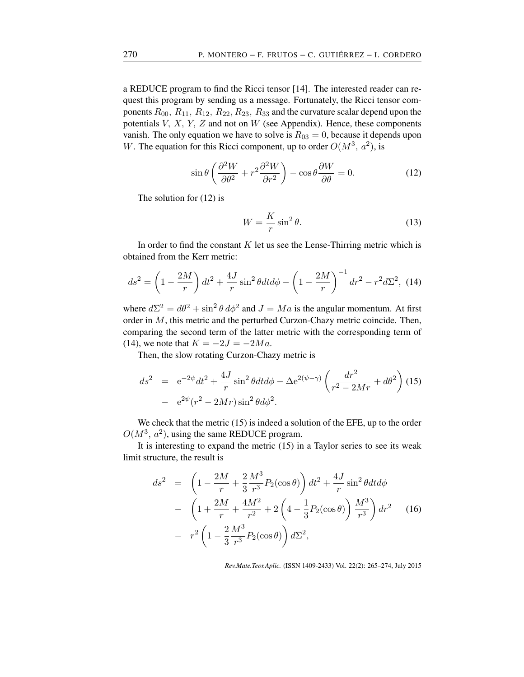a REDUCE program to find the Ricci tensor [14]. The interested reader can request this program by sending us a message. Fortunately, the Ricci tensor components *R*00*, R*11*, R*12*, R*22*, R*23*, R*<sup>33</sup> and the curvature scalar depend upon the potentials *V, X, Y, Z* and not on *W* (see Appendix). Hence, these components vanish. The only equation we have to solve is  $R_{03} = 0$ , because it depends upon *W*. The equation for this Ricci component, up to order  $O(M^3, a^2)$ , is

$$
\sin \theta \left( \frac{\partial^2 W}{\partial \theta^2} + r^2 \frac{\partial^2 W}{\partial r^2} \right) - \cos \theta \frac{\partial W}{\partial \theta} = 0.
$$
 (12)

The solution for (12) is

$$
W = \frac{K}{r} \sin^2 \theta. \tag{13}
$$

In order to find the constant *K* let us see the Lense-Thirring metric which is obtained from the Kerr metric:

$$
ds^{2} = \left(1 - \frac{2M}{r}\right)dt^{2} + \frac{4J}{r}\sin^{2}\theta dt d\phi - \left(1 - \frac{2M}{r}\right)^{-1}dr^{2} - r^{2}d\Sigma^{2}, \tag{14}
$$

where  $d\Sigma^2 = d\theta^2 + \sin^2 \theta \, d\phi^2$  and  $J = Ma$  is the angular momentum. At first order in *M*, this metric and the perturbed Curzon-Chazy metric coincide. Then, comparing the second term of the latter metric with the corresponding term of (14), we note that  $K = -2J = -2Ma$ .

Then, the slow rotating Curzon-Chazy metric is

$$
ds^{2} = e^{-2\psi}dt^{2} + \frac{4J}{r}\sin^{2}\theta dt d\phi - \Delta e^{2(\psi - \gamma)} \left(\frac{dr^{2}}{r^{2} - 2Mr} + d\theta^{2}\right)
$$
 (15)  
-  $e^{2\psi}(r^{2} - 2Mr)\sin^{2}\theta d\phi^{2}$ .

We check that the metric (15) is indeed a solution of the EFE, up to the order  $O(M^3, a^2)$ , using the same REDUCE program.

It is interesting to expand the metric (15) in a Taylor series to see its weak limit structure, the result is

$$
ds^{2} = \left(1 - \frac{2M}{r} + \frac{2}{3} \frac{M^{3}}{r^{3}} P_{2}(\cos \theta)\right) dt^{2} + \frac{4J}{r} \sin^{2} \theta dt d\phi
$$
  
-  $\left(1 + \frac{2M}{r} + \frac{4M^{2}}{r^{2}} + 2\left(4 - \frac{1}{3} P_{2}(\cos \theta)\right) \frac{M^{3}}{r^{3}}\right) dr^{2}$  (16)  
-  $r^{2} \left(1 - \frac{2}{3} \frac{M^{3}}{r^{3}} P_{2}(\cos \theta)\right) d\Sigma^{2},$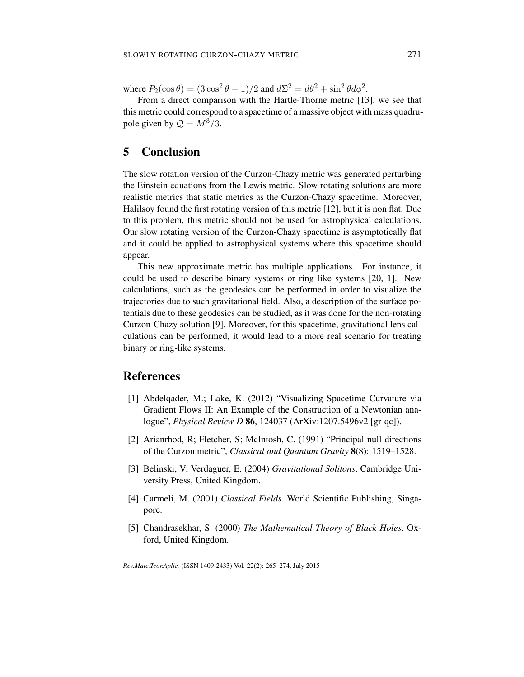where  $P_2(\cos \theta) = (3 \cos^2 \theta - 1)/2$  and  $d\Sigma^2 = d\theta^2 + \sin^2 \theta d\phi^2$ .

From a direct comparison with the Hartle-Thorne metric [13], we see that this metric could correspond to a spacetime of a massive object with mass quadrupole given by  $\mathcal{Q} = M^3/3$ .

### 5 Conclusion

The slow rotation version of the Curzon-Chazy metric was generated perturbing the Einstein equations from the Lewis metric. Slow rotating solutions are more realistic metrics that static metrics as the Curzon-Chazy spacetime. Moreover, Halilsoy found the first rotating version of this metric [12], but it is non flat. Due to this problem, this metric should not be used for astrophysical calculations. Our slow rotating version of the Curzon-Chazy spacetime is asymptotically flat and it could be applied to astrophysical systems where this spacetime should appear.

This new approximate metric has multiple applications. For instance, it could be used to describe binary systems or ring like systems [20, 1]. New calculations, such as the geodesics can be performed in order to visualize the trajectories due to such gravitational field. Also, a description of the surface potentials due to these geodesics can be studied, as it was done for the non-rotating Curzon-Chazy solution [9]. Moreover, for this spacetime, gravitational lens calculations can be performed, it would lead to a more real scenario for treating binary or ring-like systems.

#### References

- [1] Abdelqader, M.; Lake, K. (2012) "Visualizing Spacetime Curvature via Gradient Flows II: An Example of the Construction of a Newtonian analogue", *Physical Review D* 86, 124037 (ArXiv:1207.5496v2 [gr-qc]).
- [2] Arianrhod, R; Fletcher, S; McIntosh, C. (1991) "Principal null directions of the Curzon metric", *Classical and Quantum Gravity* 8(8): 1519–1528.
- [3] Belinski, V; Verdaguer, E. (2004) *Gravitational Solitons*. Cambridge University Press, United Kingdom.
- [4] Carmeli, M. (2001) *Classical Fields*. World Scientific Publishing, Singapore.
- [5] Chandrasekhar, S. (2000) *The Mathematical Theory of Black Holes*. Oxford, United Kingdom.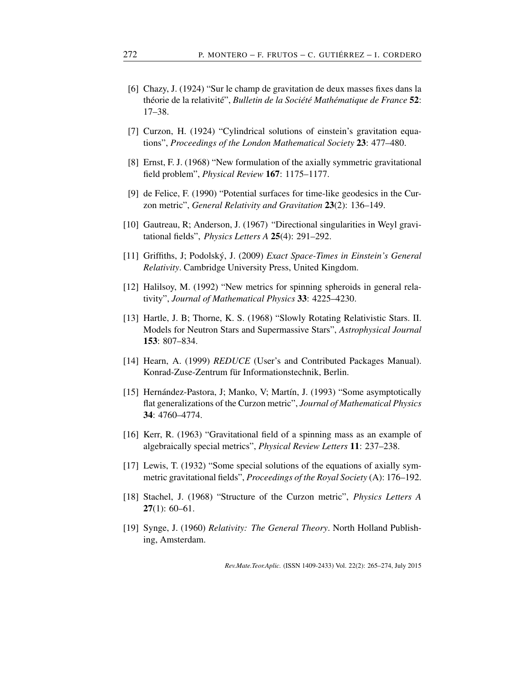- [6] Chazy, J. (1924) "Sur le champ de gravitation de deux masses fixes dans la théorie de la relativité", *Bulletin de la Société Mathématique de France* 52: 17–38.
- [7] Curzon, H. (1924) "Cylindrical solutions of einstein's gravitation equations", *Proceedings of the London Mathematical Society* 23: 477–480.
- [8] Ernst, F. J. (1968) "New formulation of the axially symmetric gravitational field problem", *Physical Review* 167: 1175–1177.
- [9] de Felice, F. (1990) "Potential surfaces for time-like geodesics in the Curzon metric", *General Relativity and Gravitation* 23(2): 136–149.
- [10] Gautreau, R; Anderson, J. (1967) "Directional singularities in Weyl gravitational fields", *Physics Letters A* 25(4): 291–292.
- [11] Griffiths, J; Podolský, J. (2009) *Exact Space-Times in Einstein's General Relativity*. Cambridge University Press, United Kingdom.
- [12] Halilsoy, M. (1992) "New metrics for spinning spheroids in general relativity", *Journal of Mathematical Physics* 33: 4225–4230.
- [13] Hartle, J. B; Thorne, K. S. (1968) "Slowly Rotating Relativistic Stars. II. Models for Neutron Stars and Supermassive Stars", *Astrophysical Journal* 153: 807–834.
- [14] Hearn, A. (1999) *REDUCE* (User's and Contributed Packages Manual). Konrad-Zuse-Zentrum für Informationstechnik, Berlin.
- [15] Hernández-Pastora, J; Manko, V; Martín, J. (1993) "Some asymptotically flat generalizations of the Curzon metric", *Journal of Mathematical Physics* 34: 4760–4774.
- [16] Kerr, R. (1963) "Gravitational field of a spinning mass as an example of algebraically special metrics", *Physical Review Letters* 11: 237–238.
- [17] Lewis, T. (1932) "Some special solutions of the equations of axially symmetric gravitational fields", *Proceedings of the Royal Society* (A): 176–192.
- [18] Stachel, J. (1968) "Structure of the Curzon metric", *Physics Letters A*  $27(1): 60-61.$
- [19] Synge, J. (1960) *Relativity: The General Theory*. North Holland Publishing, Amsterdam.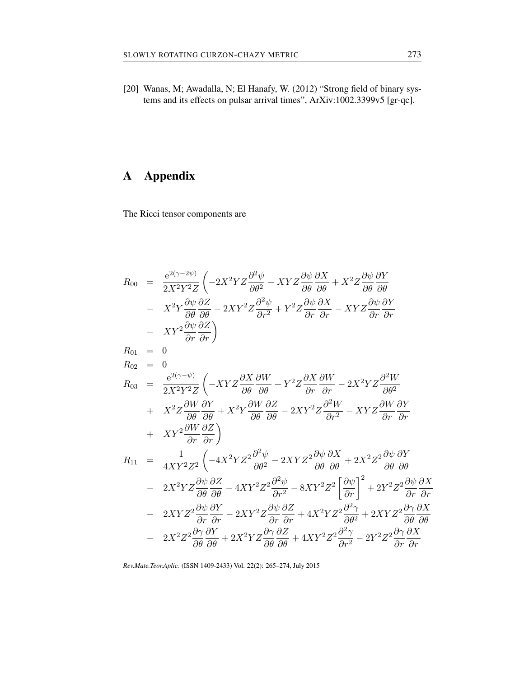[20] Wanas, M; Awadalla, N; El Hanafy, W. (2012) "Strong field of binary systems and its effects on pulsar arrival times", ArXiv:1002.3399v5 [gr-qc].

# A Appendix

The Ricci tensor components are

$$
R_{00} = \frac{e^{2(\gamma - 2\psi)}}{2X^2Y^2Z} \left( -2X^2YZ\frac{\partial^2\psi}{\partial\theta^2} - XYZ\frac{\partial\psi}{\partial\theta}\frac{\partial X}{\partial\theta} + X^2Z\frac{\partial\psi}{\partial\theta}\frac{\partial Y}{\partial\theta} - X^2Y\frac{\partial\psi}{\partial\theta}\frac{\partial Z}{\partial\theta} - 2XY^2Z\frac{\partial^2\psi}{\partial r^2} + Y^2Z\frac{\partial\psi}{\partial r}\frac{\partial X}{\partial r} - XYZ\frac{\partial\psi}{\partial r}\frac{\partial Y}{\partial r} - XY^2\frac{\partial\psi}{\partial r}\frac{\partial Z}{\partial r} \right) R_{01} = 0 R_{02} = 0 R_{03} = \frac{e^{2(\gamma - \psi)}}{2X^2Y^2Z} \left( -XYZ\frac{\partial X}{\partial\theta}\frac{\partial W}{\partial\theta} + Y^2Z\frac{\partial X}{\partial r}\frac{\partial W}{\partial r} - 2X^2YZ\frac{\partial^2W}{\partial\theta^2} + X^2Z\frac{\partial W}{\partial\theta}\frac{\partial Y}{\partial\theta} + X^2Y\frac{\partial W}{\partial\theta}\frac{\partial Z}{\partial\theta} - 2XY^2Z\frac{\partial^2W}{\partial r^2} - XYZ\frac{\partial W}{\partial r}\frac{\partial Y}{\partial r} + XY^2\frac{\partial W}{\partial r}\frac{\partial Z}{\partial r} \right) R_{11} = \frac{1}{4XY^2Z^2} \left( -4X^2YZ^2\frac{\partial^2\psi}{\partial\theta^2} - 2XYZ^2\frac{\partial\psi}{\partial\theta}\frac{\partial X}{\partial\theta} + 2X^2Z^2\frac{\partial\psi}{\partial\theta}\frac{\partial Y}{\partial\theta} - 2X^2YZ\frac{\partial\psi}{\partial\theta}\frac{\partial Z}{\partial\theta} - 4XY^2Z^2\frac{\partial^2\psi}{\partial r^2} - 8XY^2Z^2\left[\frac{\partial\psi}{\partial r}\right]^2 + 2Y^2Z^2\frac{\partial\psi}{\partial r}\frac{\partial X}{\partial r} - 2XYZ^2\frac{\partial\psi}{\partial r}\frac{\partial Y}{\partial r} - 2XY^2Z\frac{\partial\psi}{\partial r}\frac{\partial Z}{\partial
$$